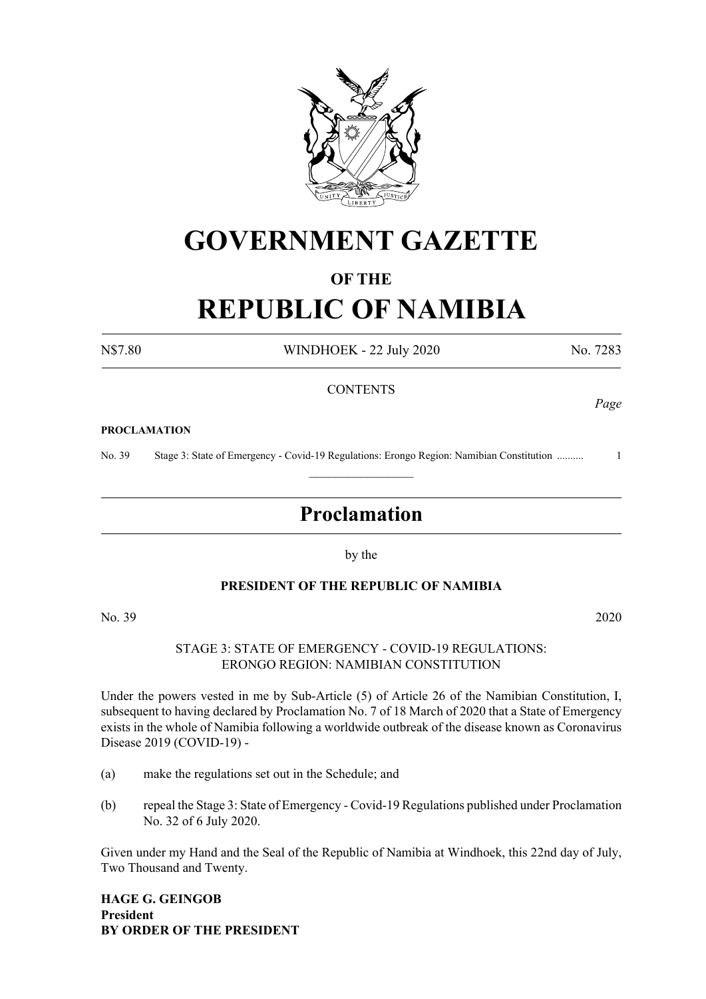

## **GOVERNMENT GAZETTE**

#### **OF THE**

# **REPUBLIC OF NAMIBIA**

N\$7.80 WINDHOEK - 22 July 2020 No. 7283

*Page*

#### **CONTENTS**

#### **PROCLAMATION**

No. 39 Stage 3: State of Emergency - Covid-19 Regulations: Erongo Region: Namibian Constitution .......... 1  $\frac{1}{2}$ 

### **Proclamation**

by the

#### **PRESIDENT OF THE REPUBLIC OF NAMIBIA**

No. 39 2020

STAGE 3: STATE OF EMERGENCY - COVID-19 REGULATIONS: ERONGO REGION: NAMIBIAN CONSTITUTION

Under the powers vested in me by Sub-Article (5) of Article 26 of the Namibian Constitution, I, subsequent to having declared by Proclamation No. 7 of 18 March of 2020 that a State of Emergency exists in the whole of Namibia following a worldwide outbreak of the disease known as Coronavirus Disease 2019 (COVID-19) -

- (a) make the regulations set out in the Schedule; and
- (b) repeal the Stage 3: State of Emergency Covid-19 Regulations published under Proclamation No. 32 of 6 July 2020.

Given under my Hand and the Seal of the Republic of Namibia at Windhoek, this 22nd day of July, Two Thousand and Twenty.

**HAGE G. GEINGOB President BY ORDER OF THE PRESIDENT**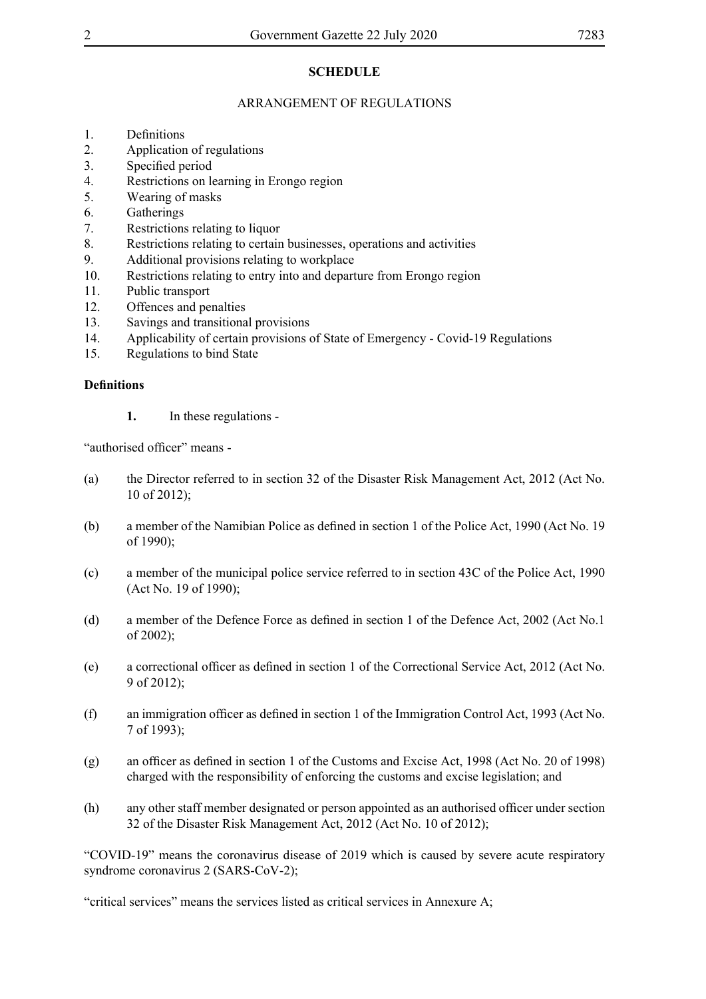#### **SCHEDULE**

#### ARRANGEMENT OF REGULATIONS

- 1. Definitions
- 2. Application of regulations
- 3. Specified period
- 4. Restrictions on learning in Erongo region
- 5. Wearing of masks
- 6. Gatherings
- 7. Restrictions relating to liquor
- 8. Restrictions relating to certain businesses, operations and activities
- 9. Additional provisions relating to workplace
- 10. Restrictions relating to entry into and departure from Erongo region
- 11. Public transport
- 12. Offences and penalties
- 13. Savings and transitional provisions
- 14. Applicability of certain provisions of State of Emergency Covid-19 Regulations
- 15. Regulations to bind State

#### **Definitions**

**1.** In these regulations -

"authorised officer" means -

- (a) the Director referred to in section 32 of the Disaster Risk Management Act, 2012 (Act No. 10 of 2012);
- (b) a member of the Namibian Police as defined in section 1 of the Police Act, 1990 (Act No. 19 of 1990);
- (c) a member of the municipal police service referred to in section 43C of the Police Act, 1990 (Act No. 19 of 1990);
- (d) a member of the Defence Force as defined in section 1 of the Defence Act, 2002 (Act No.1) of 2002);
- (e) a correctional officer as defined in section 1 of the Correctional Service Act, 2012 (Act No. 9 of 2012);
- (f) an immigration officer as defined in section 1 of the Immigration Control Act, 1993 (Act No. 7 of 1993);
- (g) an officer as defined in section 1 of the Customs and Excise Act, 1998 (Act No. 20 of 1998) charged with the responsibility of enforcing the customs and excise legislation; and
- (h) any other staff member designated or person appointed as an authorised officer under section 32 of the Disaster Risk Management Act, 2012 (Act No. 10 of 2012);

"COVID-19" means the coronavirus disease of 2019 which is caused by severe acute respiratory syndrome coronavirus 2 (SARS-CoV-2);

"critical services" means the services listed as critical services in Annexure A;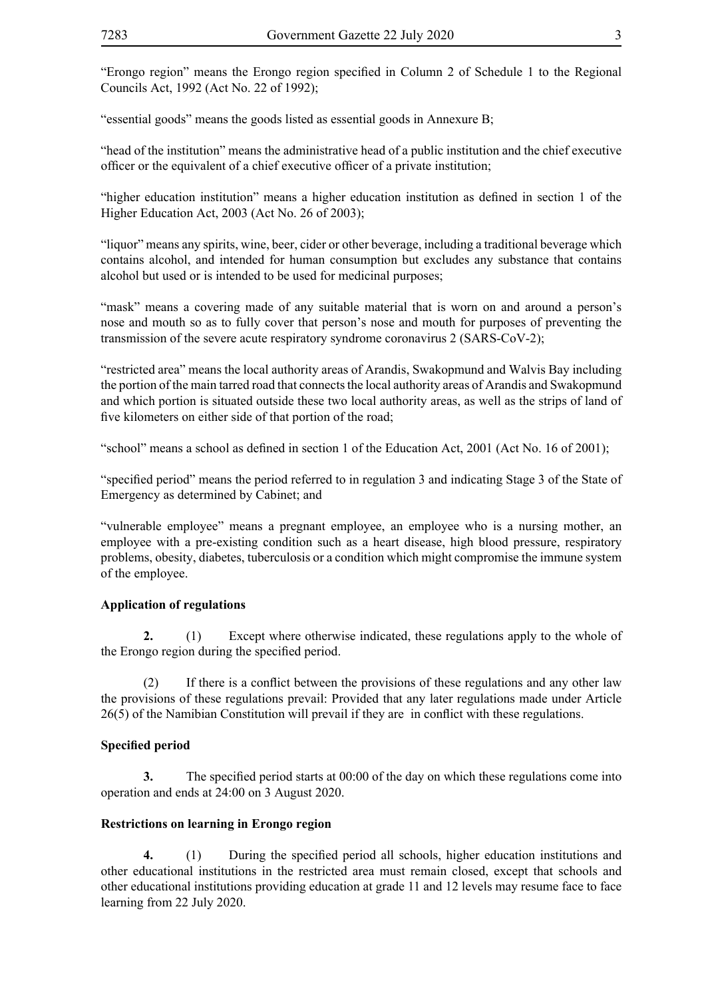"Erongo region" means the Erongo region specified in Column 2 of Schedule 1 to the Regional Councils Act, 1992 (Act No. 22 of 1992);

"essential goods" means the goods listed as essential goods in Annexure B;

"head of the institution" means the administrative head of a public institution and the chief executive officer or the equivalent of a chief executive officer of a private institution;

"higher education institution" means a higher education institution as defined in section 1 of the Higher Education Act, 2003 (Act No. 26 of 2003);

"liquor" means any spirits, wine, beer, cider or other beverage, including a traditional beverage which contains alcohol, and intended for human consumption but excludes any substance that contains alcohol but used or is intended to be used for medicinal purposes;

"mask" means a covering made of any suitable material that is worn on and around a person's nose and mouth so as to fully cover that person's nose and mouth for purposes of preventing the transmission of the severe acute respiratory syndrome coronavirus 2 (SARS-CoV-2);

"restricted area" means the local authority areas of Arandis, Swakopmund and Walvis Bay including the portion of the main tarred road that connects the local authority areas of Arandis and Swakopmund and which portion is situated outside these two local authority areas, as well as the strips of land of five kilometers on either side of that portion of the road;

"school" means a school as defined in section 1 of the Education Act, 2001 (Act No. 16 of 2001);

"specified period" means the period referred to in regulation 3 and indicating Stage 3 of the State of Emergency as determined by Cabinet; and

"vulnerable employee" means a pregnant employee, an employee who is a nursing mother, an employee with a pre-existing condition such as a heart disease, high blood pressure, respiratory problems, obesity, diabetes, tuberculosis or a condition which might compromise the immune system of the employee.

#### **Application of regulations**

**2.** (1) Except where otherwise indicated, these regulations apply to the whole of the Erongo region during the specified period.

 (2) If there is a conflict between the provisions of these regulations and any other law the provisions of these regulations prevail: Provided that any later regulations made under Article 26(5) of the Namibian Constitution will prevail if they are in conflict with these regulations.

#### **Specified period**

**3.** The specified period starts at 00:00 of the day on which these regulations come into operation and ends at 24:00 on 3 August 2020.

#### **Restrictions on learning in Erongo region**

**4.** (1) During the specified period all schools, higher education institutions and other educational institutions in the restricted area must remain closed, except that schools and other educational institutions providing education at grade 11 and 12 levels may resume face to face learning from 22 July 2020.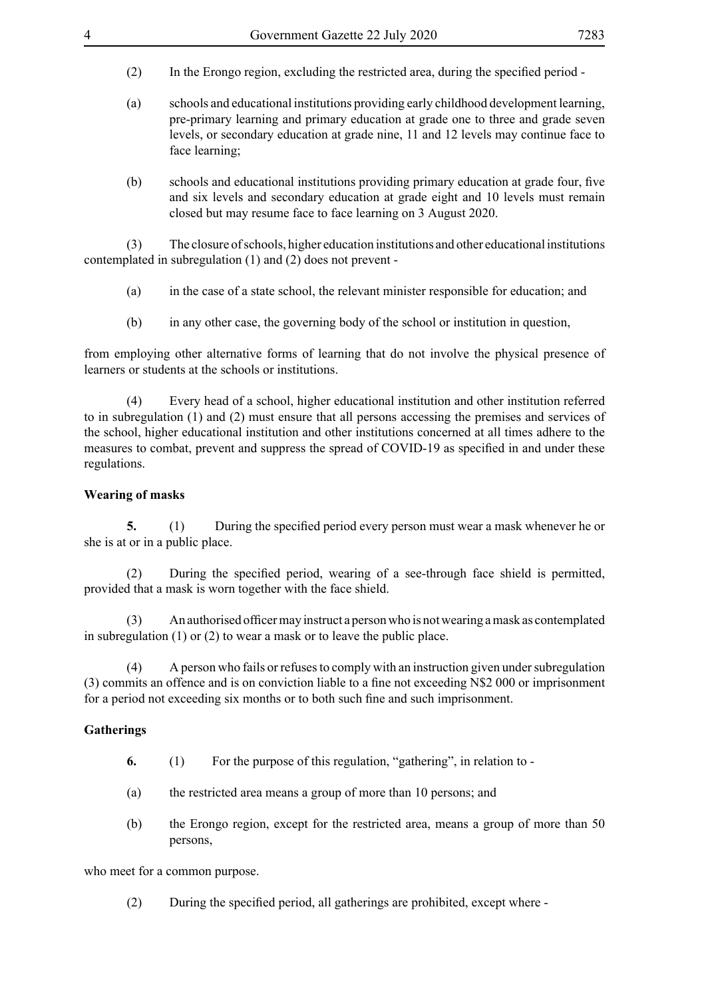- (2) In the Erongo region, excluding the restricted area, during the specified period -
- (a) schools and educational institutions providing early childhood development learning, pre-primary learning and primary education at grade one to three and grade seven levels, or secondary education at grade nine, 11 and 12 levels may continue face to face learning;
- (b) schools and educational institutions providing primary education at grade four, five and six levels and secondary education at grade eight and 10 levels must remain closed but may resume face to face learning on 3 August 2020.

(3) The closure of schools, higher education institutions and other educational institutions contemplated in subregulation (1) and (2) does not prevent -

- (a) in the case of a state school, the relevant minister responsible for education; and
- (b) in any other case, the governing body of the school or institution in question,

from employing other alternative forms of learning that do not involve the physical presence of learners or students at the schools or institutions.

(4) Every head of a school, higher educational institution and other institution referred to in subregulation (1) and (2) must ensure that all persons accessing the premises and services of the school, higher educational institution and other institutions concerned at all times adhere to the measures to combat, prevent and suppress the spread of COVID-19 as specified in and under these regulations.

#### **Wearing of masks**

**5.** (1) During the specified period every person must wear a mask whenever he or she is at or in a public place.

(2) During the specified period, wearing of a see-through face shield is permitted, provided that a mask is worn together with the face shield.

(3) An authorised officermay instruct a personwho is notwearing amask as contemplated in subregulation (1) or (2) to wear a mask or to leave the public place.

(4) A person who fails or refuses to comply with an instruction given under subregulation (3) commits an offence and is on conviction liable to a fine not exceeding N\$2 000 or imprisonment for a period not exceeding six months or to both such fine and such imprisonment.

#### **Gatherings**

- **6.** (1) For the purpose of this regulation, "gathering", in relation to -
- (a) the restricted area means a group of more than 10 persons; and
- (b) the Erongo region, except for the restricted area, means a group of more than 50 persons,

who meet for a common purpose.

(2) During the specified period, all gatherings are prohibited, except where -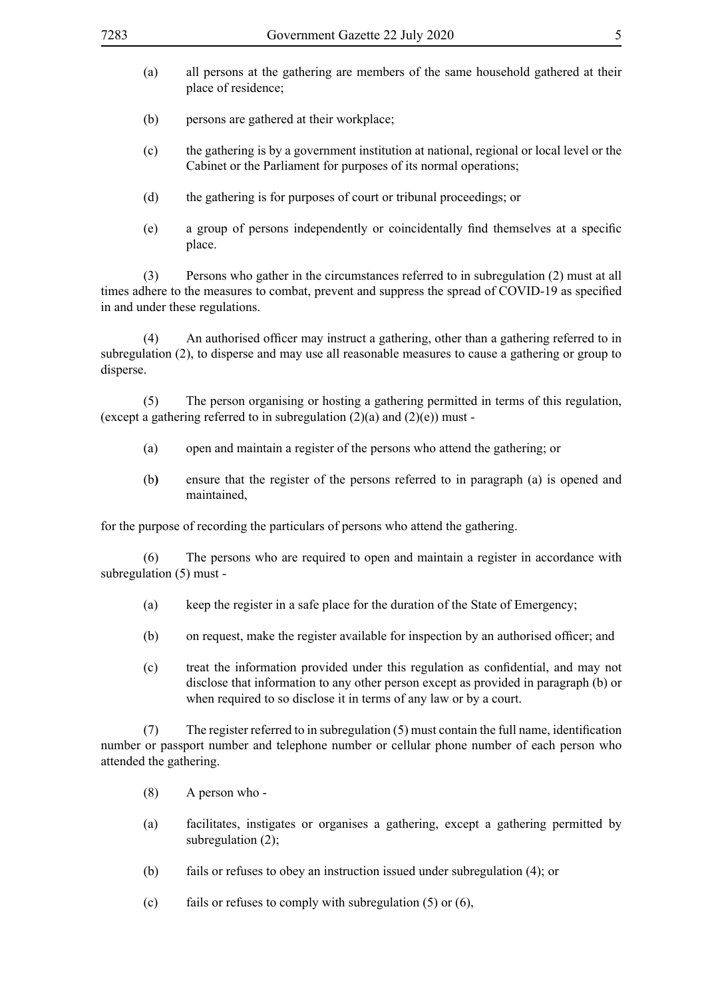- (a) all persons at the gathering are members of the same household gathered at their place of residence;
- (b) persons are gathered at their workplace;
- (c) the gathering is by a government institution at national, regional or local level or the Cabinet or the Parliament for purposes of its normal operations;
- (d) the gathering is for purposes of court or tribunal proceedings; or
- (e) a group of persons independently or coincidentally find themselves at a specific place.

(3) Persons who gather in the circumstances referred to in subregulation (2) must at all times adhere to the measures to combat, prevent and suppress the spread of COVID-19 as specified in and under these regulations.

 (4) An authorised officer may instruct a gathering, other than a gathering referred to in subregulation (2), to disperse and may use all reasonable measures to cause a gathering or group to disperse.

(5) The person organising or hosting a gathering permitted in terms of this regulation, (except a gathering referred to in subregulation  $(2)(a)$  and  $(2)(e)$ ) must -

- (a) open and maintain a register of the persons who attend the gathering; or
- (b**)** ensure that the register of the persons referred to in paragraph (a) is opened and maintained,

for the purpose of recording the particulars of persons who attend the gathering.

(6) The persons who are required to open and maintain a register in accordance with subregulation (5) must -

- (a) keep the register in a safe place for the duration of the State of Emergency;
- (b) on request, make the register available for inspection by an authorised officer; and
- (c) treat the information provided under this regulation as confidential, and may not disclose that information to any other person except as provided in paragraph (b) or when required to so disclose it in terms of any law or by a court.

(7) The register referred to in subregulation  $(5)$  must contain the full name, identification number or passport number and telephone number or cellular phone number of each person who attended the gathering.

- (8) A person who -
- (a) facilitates, instigates or organises a gathering, except a gathering permitted by subregulation  $(2)$ ;
- (b) fails or refuses to obey an instruction issued under subregulation (4); or
- (c) fails or refuses to comply with subregulation  $(5)$  or  $(6)$ ,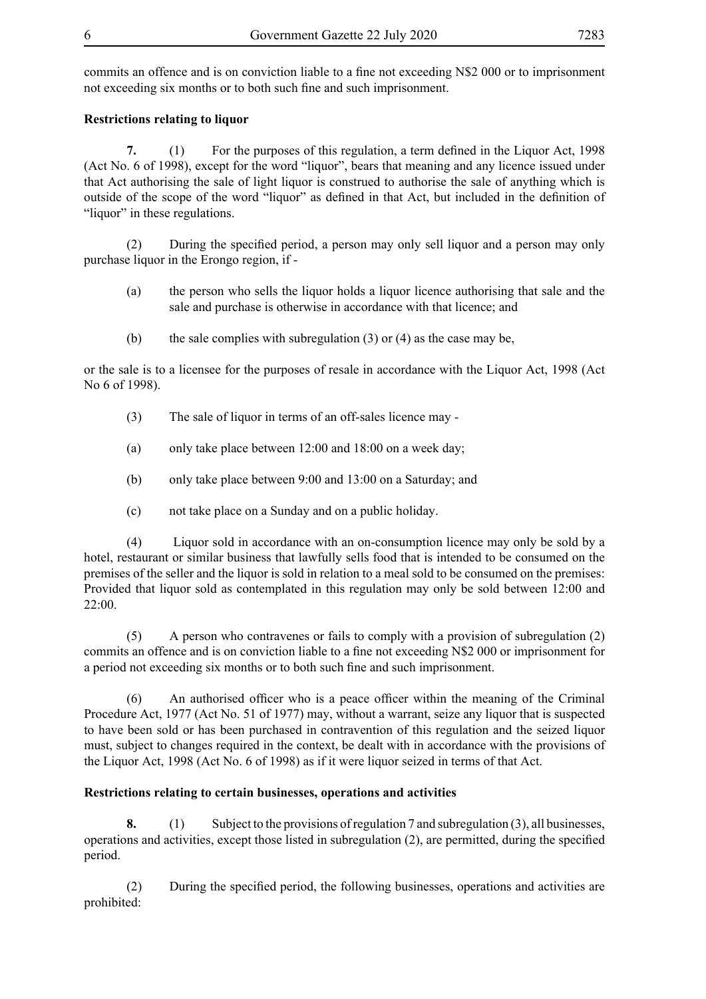commits an offence and is on conviction liable to a fine not exceeding N\$2 000 or to imprisonment not exceeding six months or to both such fine and such imprisonment.

#### **Restrictions relating to liquor**

**7.** (1) For the purposes of this regulation, a term defined in the Liquor Act, 1998 (Act No. 6 of 1998), except for the word "liquor", bears that meaning and any licence issued under that Act authorising the sale of light liquor is construed to authorise the sale of anything which is outside of the scope of the word "liquor" as defined in that Act, but included in the definition of "liquor" in these regulations.

(2) During the specified period, a person may only sell liquor and a person may only purchase liquor in the Erongo region, if -

- (a) the person who sells the liquor holds a liquor licence authorising that sale and the sale and purchase is otherwise in accordance with that licence; and
- (b) the sale complies with subregulation (3) or (4) as the case may be,

or the sale is to a licensee for the purposes of resale in accordance with the Liquor Act, 1998 (Act No 6 of 1998).

- (3) The sale of liquor in terms of an off-sales licence may -
- (a) only take place between 12:00 and 18:00 on a week day;
- (b) only take place between 9:00 and 13:00 on a Saturday; and
- (c) not take place on a Sunday and on a public holiday.

(4) Liquor sold in accordance with an on-consumption licence may only be sold by a hotel, restaurant or similar business that lawfully sells food that is intended to be consumed on the premises of the seller and the liquor is sold in relation to a meal sold to be consumed on the premises: Provided that liquor sold as contemplated in this regulation may only be sold between 12:00 and 22:00.

(5) A person who contravenes or fails to comply with a provision of subregulation (2) commits an offence and is on conviction liable to a fine not exceeding N\$2 000 or imprisonment for a period not exceeding six months or to both such fine and such imprisonment.

 (6) An authorised officer who is a peace officer within the meaning of the Criminal Procedure Act, 1977 (Act No. 51 of 1977) may, without a warrant, seize any liquor that is suspected to have been sold or has been purchased in contravention of this regulation and the seized liquor must, subject to changes required in the context, be dealt with in accordance with the provisions of the Liquor Act, 1998 (Act No. 6 of 1998) as if it were liquor seized in terms of that Act.

#### **Restrictions relating to certain businesses, operations and activities**

**8.** (1) Subject to the provisions of regulation 7 and subregulation (3), all businesses, operations and activities, except those listed in subregulation (2), are permitted, during the specified period.

(2) During the specified period, the following businesses, operations and activities are prohibited: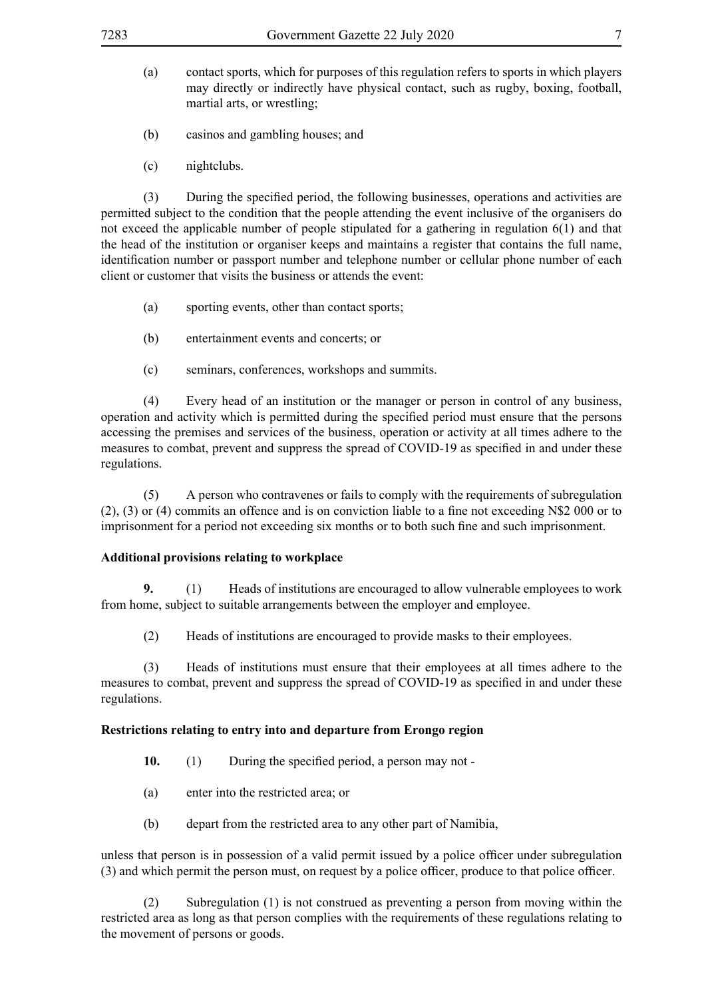- (a) contact sports, which for purposes of this regulation refers to sports in which players may directly or indirectly have physical contact, such as rugby, boxing, football, martial arts, or wrestling;
- (b) casinos and gambling houses; and
- (c) nightclubs.

(3) During the specified period, the following businesses, operations and activities are permitted subject to the condition that the people attending the event inclusive of the organisers do not exceed the applicable number of people stipulated for a gathering in regulation 6(1) and that the head of the institution or organiser keeps and maintains a register that contains the full name, identification number or passport number and telephone number or cellular phone number of each client or customer that visits the business or attends the event:

- (a) sporting events, other than contact sports;
- (b) entertainment events and concerts; or
- (c) seminars, conferences, workshops and summits.

(4) Every head of an institution or the manager or person in control of any business, operation and activity which is permitted during the specified period must ensure that the persons accessing the premises and services of the business, operation or activity at all times adhere to the measures to combat, prevent and suppress the spread of COVID-19 as specified in and under these regulations.

(5) A person who contravenes or fails to comply with the requirements of subregulation (2), (3) or (4) commits an offence and is on conviction liable to a fine not exceeding N\$2 000 or to imprisonment for a period not exceeding six months or to both such fine and such imprisonment.

#### **Additional provisions relating to workplace**

**9.** (1) Heads of institutions are encouraged to allow vulnerable employees to work from home, subject to suitable arrangements between the employer and employee.

(2) Heads of institutions are encouraged to provide masks to their employees.

(3) Heads of institutions must ensure that their employees at all times adhere to the measures to combat, prevent and suppress the spread of COVID-19 as specified in and under these regulations.

#### **Restrictions relating to entry into and departure from Erongo region**

- **10.** (1) During the specified period, a person may not -
- (a) enter into the restricted area; or
- (b) depart from the restricted area to any other part of Namibia,

unless that person is in possession of a valid permit issued by a police officer under subregulation (3) and which permit the person must, on request by a police officer, produce to that police officer.

(2) Subregulation (1) is not construed as preventing a person from moving within the restricted area as long as that person complies with the requirements of these regulations relating to the movement of persons or goods.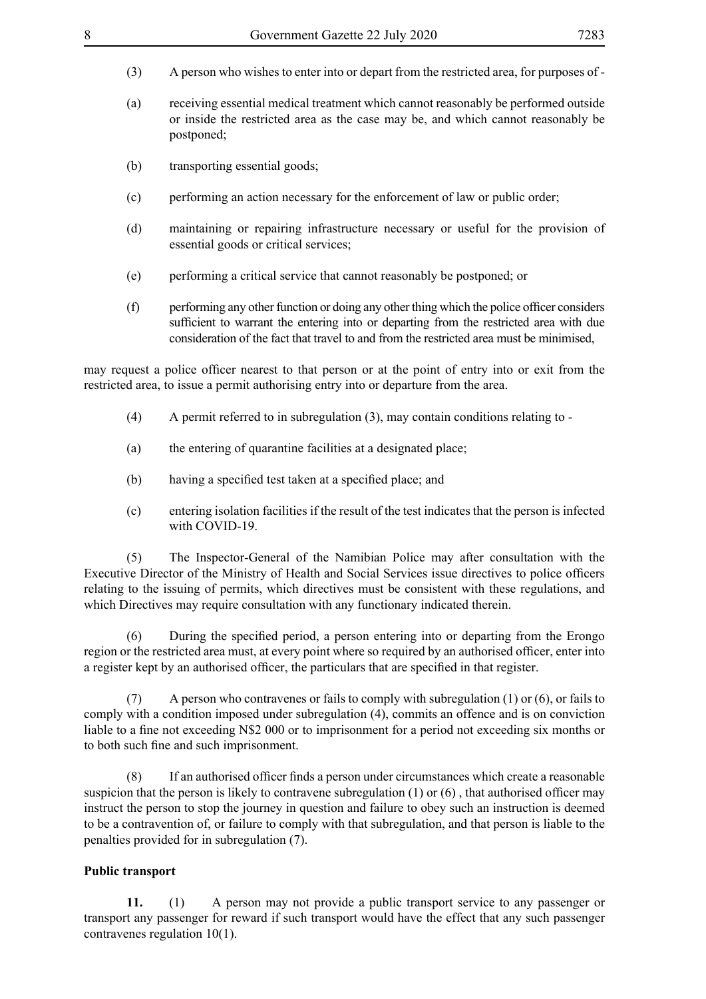- (3) A person who wishes to enter into or depart from the restricted area, for purposes of -
- (a) receiving essential medical treatment which cannot reasonably be performed outside or inside the restricted area as the case may be, and which cannot reasonably be postponed;
- (b) transporting essential goods;
- (c) performing an action necessary for the enforcement of law or public order;
- (d) maintaining or repairing infrastructure necessary or useful for the provision of essential goods or critical services;
- (e) performing a critical service that cannot reasonably be postponed; or
- $(f)$  performing any other function or doing any other thing which the police officer considers sufficient to warrant the entering into or departing from the restricted area with due consideration of the fact that travel to and from the restricted area must be minimised,

may request a police officer nearest to that person or at the point of entry into or exit from the restricted area, to issue a permit authorising entry into or departure from the area.

- (4) A permit referred to in subregulation (3), may contain conditions relating to -
- (a) the entering of quarantine facilities at a designated place;
- (b) having a specified test taken at a specified place; and
- (c) entering isolation facilities if the result of the test indicates that the person is infected with COVID-19

(5) The Inspector-General of the Namibian Police may after consultation with the Executive Director of the Ministry of Health and Social Services issue directives to police officers relating to the issuing of permits, which directives must be consistent with these regulations, and which Directives may require consultation with any functionary indicated therein.

 (6) During the specified period, a person entering into or departing from the Erongo region or the restricted area must, at every point where so required by an authorised officer, enter into a register kept by an authorised officer, the particulars that are specified in that register.

(7) A person who contravenes or fails to comply with subregulation (1) or (6), or fails to comply with a condition imposed under subregulation (4), commits an offence and is on conviction liable to a fine not exceeding N\$2 000 or to imprisonment for a period not exceeding six months or to both such fine and such imprisonment.

 (8) If an authorised officer finds a person under circumstances which create a reasonable suspicion that the person is likely to contravene subregulation (1) or (6) , that authorised officer may instruct the person to stop the journey in question and failure to obey such an instruction is deemed to be a contravention of, or failure to comply with that subregulation, and that person is liable to the penalties provided for in subregulation (7).

#### **Public transport**

**11.** (1) A person may not provide a public transport service to any passenger or transport any passenger for reward if such transport would have the effect that any such passenger contravenes regulation 10(1).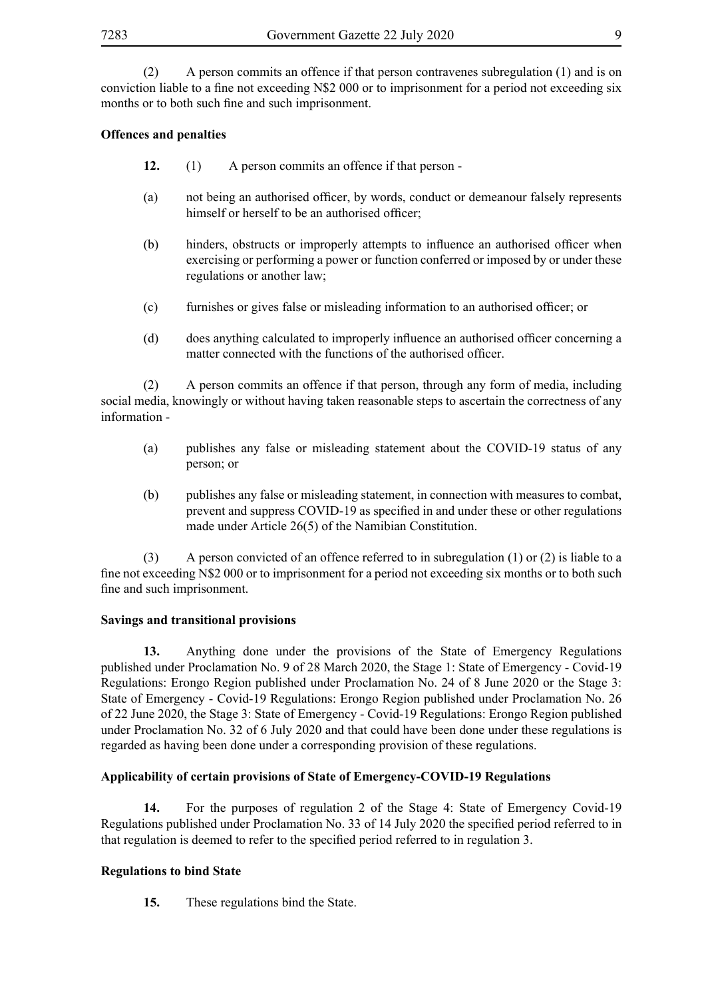(2) A person commits an offence if that person contravenes subregulation (1) and is on conviction liable to a fine not exceeding N\$2 000 or to imprisonment for a period not exceeding six months or to both such fine and such imprisonment.

#### **Offences and penalties**

- **12.** (1) A person commits an offence if that person -
- (a) not being an authorised officer, by words, conduct or demeanour falsely represents himself or herself to be an authorised officer;
- (b) hinders, obstructs or improperly attempts to influence an authorised officer when exercising or performing a power or function conferred or imposed by or under these regulations or another law;
- (c) furnishes or gives false or misleading information to an authorised officer; or
- (d) does anything calculated to improperly influence an authorised officer concerning a matter connected with the functions of the authorised officer.

(2) A person commits an offence if that person, through any form of media, including social media, knowingly or without having taken reasonable steps to ascertain the correctness of any information -

- (a) publishes any false or misleading statement about the COVID-19 status of any person; or
- (b) publishes any false or misleading statement, in connection with measures to combat, prevent and suppress COVID-19 as specified in and under these or other regulations made under Article 26(5) of the Namibian Constitution.

(3) A person convicted of an offence referred to in subregulation (1) or (2) is liable to a fine not exceeding N\$2 000 or to imprisonment for a period not exceeding six months or to both such fine and such imprisonment.

#### **Savings and transitional provisions**

**13.** Anything done under the provisions of the State of Emergency Regulations published under Proclamation No. 9 of 28 March 2020, the Stage 1: State of Emergency - Covid-19 Regulations: Erongo Region published under Proclamation No. 24 of 8 June 2020 or the Stage 3: State of Emergency - Covid-19 Regulations: Erongo Region published under Proclamation No. 26 of 22 June 2020, the Stage 3: State of Emergency - Covid-19 Regulations: Erongo Region published under Proclamation No. 32 of 6 July 2020 and that could have been done under these regulations is regarded as having been done under a corresponding provision of these regulations.

#### **Applicability of certain provisions of State of Emergency-COVID-19 Regulations**

**14.** For the purposes of regulation 2 of the Stage 4: State of Emergency Covid-19 Regulations published under Proclamation No. 33 of 14 July 2020 the specified period referred to in that regulation is deemed to refer to the specified period referred to in regulation 3.

#### **Regulations to bind State**

**15.** These regulations bind the State.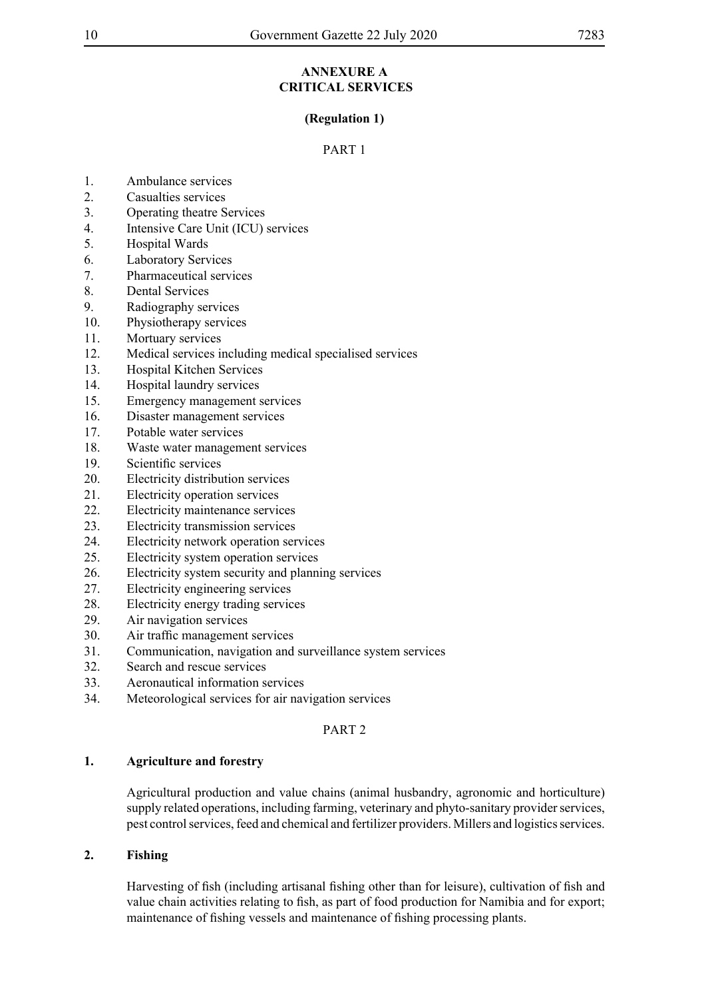#### **ANNEXURE A CRITICAL SERVICES**

#### **(Regulation 1)**

#### PART 1

- 1. Ambulance services
- 2. Casualties services
- 3. Operating theatre Services
- 4. Intensive Care Unit (ICU) services
- 5. Hospital Wards
- 6. Laboratory Services
- 7. Pharmaceutical services
- 8. Dental Services
- 9. Radiography services
- 10. Physiotherapy services
- 11. Mortuary services
- 12. Medical services including medical specialised services
- 13. Hospital Kitchen Services
- 14. Hospital laundry services
- 15. Emergency management services
- 16. Disaster management services
- 17. Potable water services
- 18. Waste water management services
- 19. Scientific services
- 20. Electricity distribution services
- 21. Electricity operation services
- 22. Electricity maintenance services
- 23. Electricity transmission services
- 24. Electricity network operation services
- 25. Electricity system operation services
- 26. Electricity system security and planning services
- 27. Electricity engineering services
- 28. Electricity energy trading services
- 29. Air navigation services
- 30. Air traffic management services
- 31. Communication, navigation and surveillance system services
- 32. Search and rescue services
- 33. Aeronautical information services
- 34. Meteorological services for air navigation services

#### PART 2

#### **1. Agriculture and forestry**

Agricultural production and value chains (animal husbandry, agronomic and horticulture) supply related operations, including farming, veterinary and phyto-sanitary provider services, pest control services, feed and chemical and fertilizer providers. Millers and logistics services.

#### **2. Fishing**

Harvesting of fish (including artisanal fishing other than for leisure), cultivation of fish and value chain activities relating to fish, as part of food production for Namibia and for export; maintenance of fishing vessels and maintenance of fishing processing plants.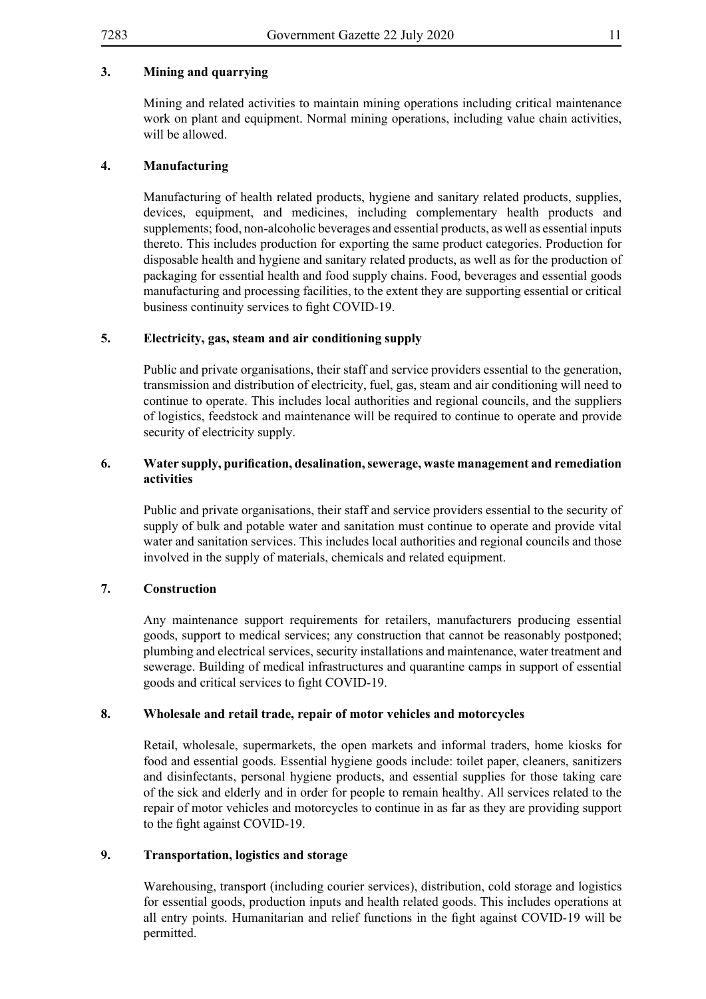#### **3. Mining and quarrying**

Mining and related activities to maintain mining operations including critical maintenance work on plant and equipment. Normal mining operations, including value chain activities, will be allowed.

#### **4. Manufacturing**

Manufacturing of health related products, hygiene and sanitary related products, supplies, devices, equipment, and medicines, including complementary health products and supplements; food, non-alcoholic beverages and essential products, as well as essential inputs thereto. This includes production for exporting the same product categories. Production for disposable health and hygiene and sanitary related products, as well as for the production of packaging for essential health and food supply chains. Food, beverages and essential goods manufacturing and processing facilities, to the extent they are supporting essential or critical business continuity services to fight COVID-19.

#### **5. Electricity, gas, steam and air conditioning supply**

Public and private organisations, their staff and service providers essential to the generation, transmission and distribution of electricity, fuel, gas, steam and air conditioning will need to continue to operate. This includes local authorities and regional councils, and the suppliers of logistics, feedstock and maintenance will be required to continue to operate and provide security of electricity supply.

#### **6. Water supply, purification, desalination, sewerage, waste management and remediation activities**

Public and private organisations, their staff and service providers essential to the security of supply of bulk and potable water and sanitation must continue to operate and provide vital water and sanitation services. This includes local authorities and regional councils and those involved in the supply of materials, chemicals and related equipment.

#### **7. Construction**

Any maintenance support requirements for retailers, manufacturers producing essential goods, support to medical services; any construction that cannot be reasonably postponed; plumbing and electrical services, security installations and maintenance, water treatment and sewerage. Building of medical infrastructures and quarantine camps in support of essential goods and critical services to fight COVID-19.

#### **8. Wholesale and retail trade, repair of motor vehicles and motorcycles**

Retail, wholesale, supermarkets, the open markets and informal traders, home kiosks for food and essential goods. Essential hygiene goods include: toilet paper, cleaners, sanitizers and disinfectants, personal hygiene products, and essential supplies for those taking care of the sick and elderly and in order for people to remain healthy. All services related to the repair of motor vehicles and motorcycles to continue in as far as they are providing support to the fight against COVID-19.

#### **9. Transportation, logistics and storage**

Warehousing, transport (including courier services), distribution, cold storage and logistics for essential goods, production inputs and health related goods. This includes operations at all entry points. Humanitarian and relief functions in the fight against COVID-19 will be permitted.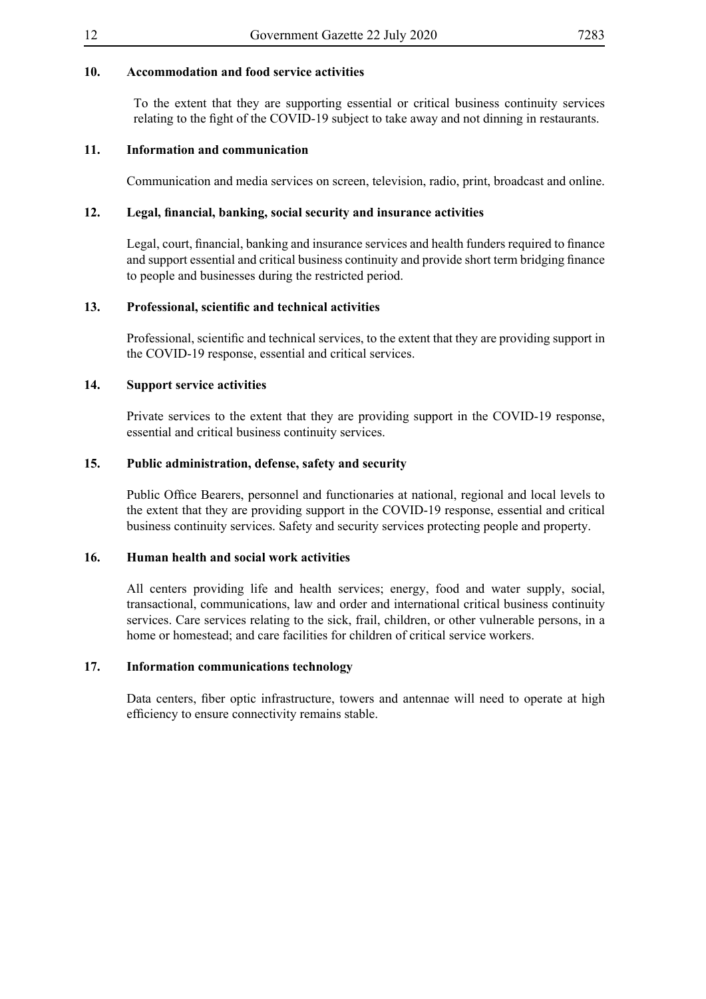#### **10. Accommodation and food service activities**

To the extent that they are supporting essential or critical business continuity services relating to the fight of the COVID-19 subject to take away and not dinning in restaurants.

#### **11. Information and communication**

Communication and media services on screen, television, radio, print, broadcast and online.

#### **12. Legal, financial, banking, social security and insurance activities**

Legal, court, financial, banking and insurance services and health funders required to finance and support essential and critical business continuity and provide short term bridging finance to people and businesses during the restricted period.

#### **13. Professional, scientific and technical activities**

Professional, scientific and technical services, to the extent that they are providing support in the COVID-19 response, essential and critical services.

#### **14. Support service activities**

Private services to the extent that they are providing support in the COVID-19 response, essential and critical business continuity services.

#### **15. Public administration, defense, safety and security**

Public Office Bearers, personnel and functionaries at national, regional and local levels to the extent that they are providing support in the COVID-19 response, essential and critical business continuity services. Safety and security services protecting people and property.

#### **16. Human health and social work activities**

All centers providing life and health services; energy, food and water supply, social, transactional, communications, law and order and international critical business continuity services. Care services relating to the sick, frail, children, or other vulnerable persons, in a home or homestead; and care facilities for children of critical service workers.

#### **17. Information communications technology**

Data centers, fiber optic infrastructure, towers and antennae will need to operate at high efficiency to ensure connectivity remains stable.